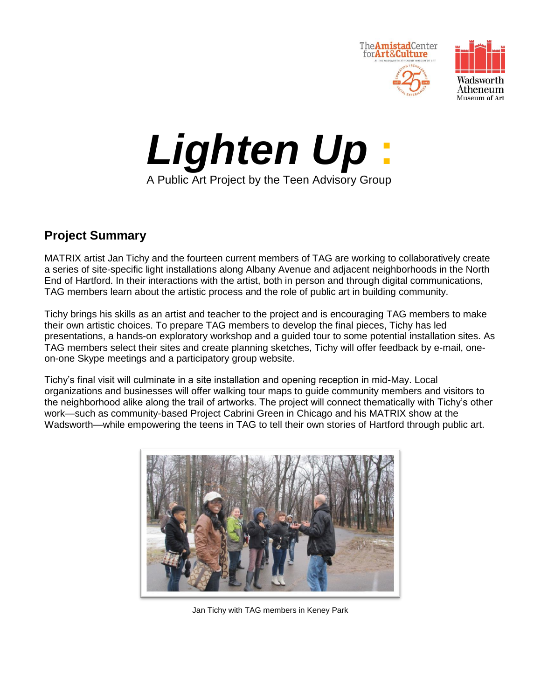





# **Project Summary**

MATRIX artist Jan Tichy and the fourteen current members of TAG are working to collaboratively create a series of site-specific light installations along Albany Avenue and adjacent neighborhoods in the North End of Hartford. In their interactions with the artist, both in person and through digital communications, TAG members learn about the artistic process and the role of public art in building community.

Tichy brings his skills as an artist and teacher to the project and is encouraging TAG members to make their own artistic choices. To prepare TAG members to develop the final pieces, Tichy has led presentations, a hands-on exploratory workshop and a guided tour to some potential installation sites. As TAG members select their sites and create planning sketches, Tichy will offer feedback by e-mail, oneon-one Skype meetings and a participatory group website.

Tichy's final visit will culminate in a site installation and opening reception in mid-May. Local organizations and businesses will offer walking tour maps to guide community members and visitors to the neighborhood alike along the trail of artworks. The project will connect thematically with Tichy's other work—such as community-based Project Cabrini Green in Chicago and his MATRIX show at the Wadsworth—while empowering the teens in TAG to tell their own stories of Hartford through public art.



Jan Tichy with TAG members in Keney Park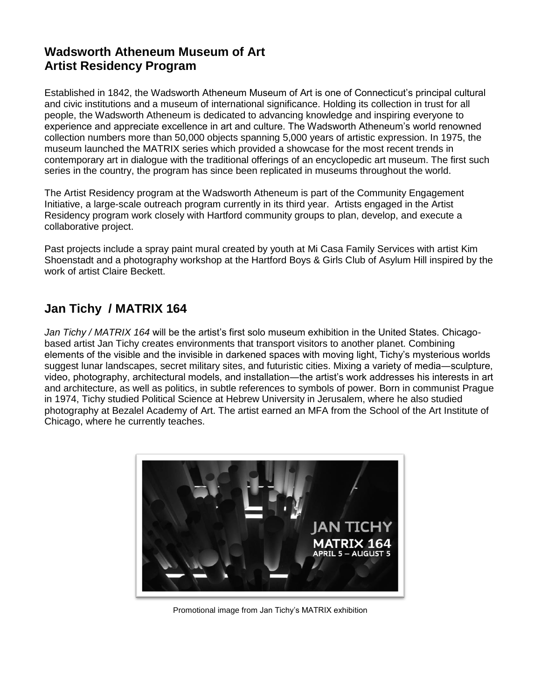# **Wadsworth Atheneum Museum of Art Artist Residency Program**

Established in 1842, the Wadsworth Atheneum Museum of Art is one of Connecticut's principal cultural and civic institutions and a museum of international significance. Holding its collection in trust for all people, the Wadsworth Atheneum is dedicated to advancing knowledge and inspiring everyone to experience and appreciate excellence in art and culture. The Wadsworth Atheneum's world renowned collection numbers more than 50,000 objects spanning 5,000 years of artistic expression. In 1975, the museum launched the MATRIX series which provided a showcase for the most recent trends in contemporary art in dialogue with the traditional offerings of an encyclopedic art museum. The first such series in the country, the program has since been replicated in museums throughout the world.

The Artist Residency program at the Wadsworth Atheneum is part of the Community Engagement Initiative, a large-scale outreach program currently in its third year. Artists engaged in the Artist Residency program work closely with Hartford community groups to plan, develop, and execute a collaborative project.

Past projects include a spray paint mural created by youth at Mi Casa Family Services with artist Kim Shoenstadt and a photography workshop at the Hartford Boys & Girls Club of Asylum Hill inspired by the work of artist Claire Beckett.

## **Jan Tichy / MATRIX 164**

*Jan Tichy / MATRIX 164* will be the artist's first solo museum exhibition in the United States. Chicagobased artist Jan Tichy creates environments that transport visitors to another planet. Combining elements of the visible and the invisible in darkened spaces with moving light, Tichy's mysterious worlds suggest lunar landscapes, secret military sites, and futuristic cities. Mixing a variety of media―sculpture, video, photography, architectural models, and installation—the artist's work addresses his interests in art and architecture, as well as politics, in subtle references to symbols of power. Born in communist Prague in 1974, Tichy studied Political Science at Hebrew University in Jerusalem, where he also studied photography at Bezalel Academy of Art. The artist earned an MFA from the School of the Art Institute of Chicago, where he currently teaches.



Promotional image from Jan Tichy's MATRIX exhibition